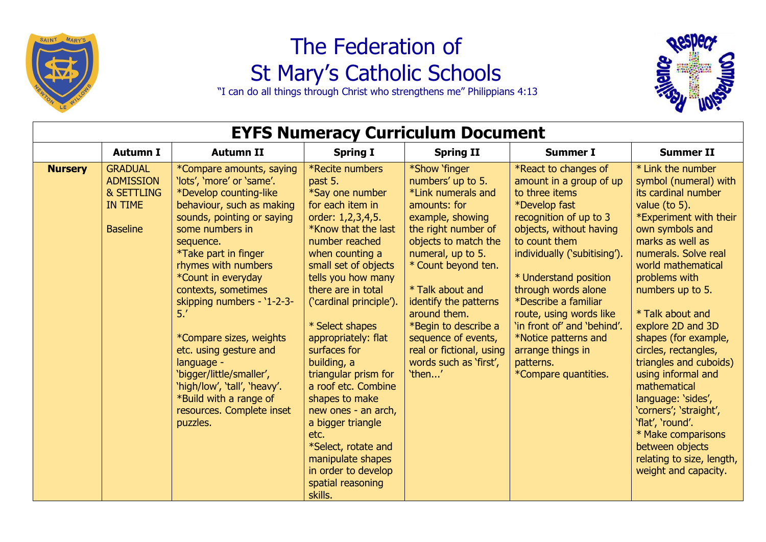

## The Federation of St Mary's Catholic Schools

"I can do all things through Christ who strengthens me" Philippians 4:13



| <b>EYFS Numeracy Curriculum Document</b> |                                                                                                  |                                                                                                                                                                                                                                                                                                                                                                                                                                                                                                                             |                                                                                                                                                                                                                                                                                                                                                                                                                                                                                                                                                    |                                                                                                                                                                                                                                                                                                                                                                     |                                                                                                                                                                                                                                                                                                                                                                                                              |                                                                                                                                                                                                                                                                                                                                                                                                                                                                                                                                                                      |  |  |
|------------------------------------------|--------------------------------------------------------------------------------------------------|-----------------------------------------------------------------------------------------------------------------------------------------------------------------------------------------------------------------------------------------------------------------------------------------------------------------------------------------------------------------------------------------------------------------------------------------------------------------------------------------------------------------------------|----------------------------------------------------------------------------------------------------------------------------------------------------------------------------------------------------------------------------------------------------------------------------------------------------------------------------------------------------------------------------------------------------------------------------------------------------------------------------------------------------------------------------------------------------|---------------------------------------------------------------------------------------------------------------------------------------------------------------------------------------------------------------------------------------------------------------------------------------------------------------------------------------------------------------------|--------------------------------------------------------------------------------------------------------------------------------------------------------------------------------------------------------------------------------------------------------------------------------------------------------------------------------------------------------------------------------------------------------------|----------------------------------------------------------------------------------------------------------------------------------------------------------------------------------------------------------------------------------------------------------------------------------------------------------------------------------------------------------------------------------------------------------------------------------------------------------------------------------------------------------------------------------------------------------------------|--|--|
|                                          | <b>Autumn I</b>                                                                                  | <b>Autumn II</b>                                                                                                                                                                                                                                                                                                                                                                                                                                                                                                            | <b>Spring I</b>                                                                                                                                                                                                                                                                                                                                                                                                                                                                                                                                    | <b>Spring II</b>                                                                                                                                                                                                                                                                                                                                                    | <b>Summer I</b>                                                                                                                                                                                                                                                                                                                                                                                              | <b>Summer II</b>                                                                                                                                                                                                                                                                                                                                                                                                                                                                                                                                                     |  |  |
| <b>Nursery</b>                           | <b>GRADUAL</b><br><b>ADMISSION</b><br><b>&amp; SETTLING</b><br><b>IN TIME</b><br><b>Baseline</b> | *Compare amounts, saying<br>'lots', 'more' or 'same'.<br>*Develop counting-like<br>behaviour, such as making<br>sounds, pointing or saying<br>some numbers in<br>sequence.<br><i><b>*Take part in finger</b></i><br>rhymes with numbers<br>*Count in everyday<br>contexts, sometimes<br>skipping numbers - '1-2-3-<br>5.'<br>*Compare sizes, weights<br>etc. using gesture and<br>language -<br>'bigger/little/smaller',<br>'high/low', 'tall', 'heavy'.<br>*Build with a range of<br>resources. Complete inset<br>puzzles. | *Recite numbers<br>past 5.<br>*Say one number<br>for each item in<br>order: 1,2,3,4,5.<br>*Know that the last<br>number reached<br>when counting a<br>small set of objects<br>tells you how many<br>there are in total<br>('cardinal principle').<br>* Select shapes<br>appropriately: flat<br>surfaces for<br>building, a<br>triangular prism for<br>a roof etc. Combine<br>shapes to make<br>new ones - an arch,<br>a bigger triangle<br>etc.<br>*Select, rotate and<br>manipulate shapes<br>in order to develop<br>spatial reasoning<br>skills. | *Show 'finger<br>numbers' up to 5.<br>*Link numerals and<br>amounts: for<br>example, showing<br>the right number of<br>objects to match the<br>numeral, up to 5.<br>* Count beyond ten.<br>* Talk about and<br>identify the patterns<br>around them.<br>*Begin to describe a<br>sequence of events,<br>real or fictional, using<br>words such as 'first',<br>'then' | *React to changes of<br>amount in a group of up<br>to three items<br>*Develop fast<br>recognition of up to 3<br>objects, without having<br>to count them<br>individually ('subitising').<br>* Understand position<br>through words alone<br>*Describe a familiar<br>route, using words like<br>'in front of' and 'behind'.<br>*Notice patterns and<br>arrange things in<br>patterns.<br>*Compare quantities. | * Link the number<br>symbol (numeral) with<br>its cardinal number<br>value (to $5$ ).<br>*Experiment with their<br>own symbols and<br>marks as well as<br>numerals. Solve real<br>world mathematical<br>problems with<br>numbers up to 5.<br>* Talk about and<br>explore 2D and 3D<br>shapes (for example,<br>circles, rectangles,<br>triangles and cuboids)<br>using informal and<br>mathematical<br>language: 'sides',<br>'corners'; 'straight',<br>'flat', 'round'.<br>* Make comparisons<br>between objects<br>relating to size, length,<br>weight and capacity. |  |  |

## **EYFS Numeracy Curriculum Document**